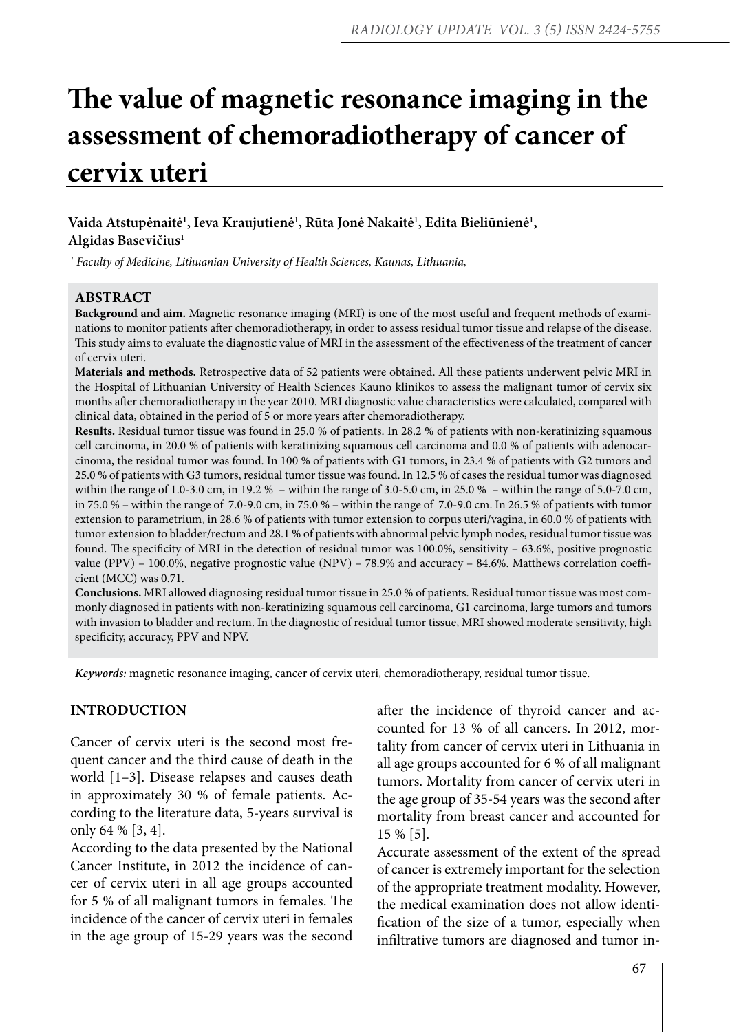# **The value of magnetic resonance imaging in the assessment of chemoradiotherapy of cancer of cervix uteri**

# Vaida Atstupėnaitė<sup>1</sup>, Ieva Kraujutienė<sup>1</sup>, Rūta Jonė Nakaitė<sup>1</sup>, Edita Bieliūnienė<sup>1</sup>, **Algidas Basevičius1**

*1 Faculty of Medicine, Lithuanian University of Health Sciences, Kaunas, Lithuania,* 

### **ABSTRACT**

**Background and aim.** Magnetic resonance imaging (MRI) is one of the most useful and frequent methods of examinations to monitor patients after chemoradiotherapy, in order to assess residual tumor tissue and relapse of the disease. This study aims to evaluate the diagnostic value of MRI in the assessment of the effectiveness of the treatment of cancer of cervix uteri.

**Materials and methods.** Retrospective data of 52 patients were obtained. All these patients underwent pelvic MRI in the Hospital of Lithuanian University of Health Sciences Kauno klinikos to assess the malignant tumor of cervix six months after chemoradiotherapy in the year 2010. MRI diagnostic value characteristics were calculated, compared with clinical data, obtained in the period of 5 or more years after chemoradiotherapy.

**Results.** Residual tumor tissue was found in 25.0 % of patients. In 28.2 % of patients with non-keratinizing squamous cell carcinoma, in 20.0 % of patients with keratinizing squamous cell carcinoma and 0.0 % of patients with adenocarcinoma, the residual tumor was found. In 100 % of patients with G1 tumors, in 23.4 % of patients with G2 tumors and 25.0 % of patients with G3 tumors, residual tumor tissue was found. In 12.5 % of cases the residual tumor was diagnosed within the range of 1.0-3.0 cm, in 19.2 % – within the range of 3.0-5.0 cm, in 25.0 % – within the range of 5.0-7.0 cm, in 75.0 % – within the range of 7.0-9.0 cm, in 75.0 % – within the range of 7.0-9.0 cm. In 26.5 % of patients with tumor extension to parametrium, in 28.6 % of patients with tumor extension to corpus uteri/vagina, in 60.0 % of patients with tumor extension to bladder/rectum and 28.1 % of patients with abnormal pelvic lymph nodes, residual tumor tissue was found. The specificity of MRI in the detection of residual tumor was 100.0%, sensitivity – 63.6%, positive prognostic value (PPV) – 100.0%, negative prognostic value (NPV) – 78.9% and accuracy – 84.6%. Matthews correlation coefficient (MCC) was 0.71.

**Conclusions.** MRI allowed diagnosing residual tumor tissue in 25.0 % of patients. Residual tumor tissue was most commonly diagnosed in patients with non-keratinizing squamous cell carcinoma, G1 carcinoma, large tumors and tumors with invasion to bladder and rectum. In the diagnostic of residual tumor tissue, MRI showed moderate sensitivity, high specificity, accuracy, PPV and NPV.

*Keywords:* magnetic resonance imaging, cancer of cervix uteri, chemoradiotherapy, residual tumor tissue.

# **INTRODUCTION**

Cancer of cervix uteri is the second most frequent cancer and the third cause of death in the world [1–3]. Disease relapses and causes death in approximately 30 % of female patients. According to the literature data, 5-years survival is only 64 % [3, 4].

According to the data presented by the National Cancer Institute, in 2012 the incidence of cancer of cervix uteri in all age groups accounted for 5 % of all malignant tumors in females. The incidence of the cancer of cervix uteri in females in the age group of 15-29 years was the second after the incidence of thyroid cancer and accounted for 13 % of all cancers. In 2012, mortality from cancer of cervix uteri in Lithuania in all age groups accounted for 6 % of all malignant tumors. Mortality from cancer of cervix uteri in the age group of 35-54 years was the second after mortality from breast cancer and accounted for 15 % [5].

Accurate assessment of the extent of the spread of cancer is extremely important for the selection of the appropriate treatment modality. However, the medical examination does not allow identification of the size of a tumor, especially when infiltrative tumors are diagnosed and tumor in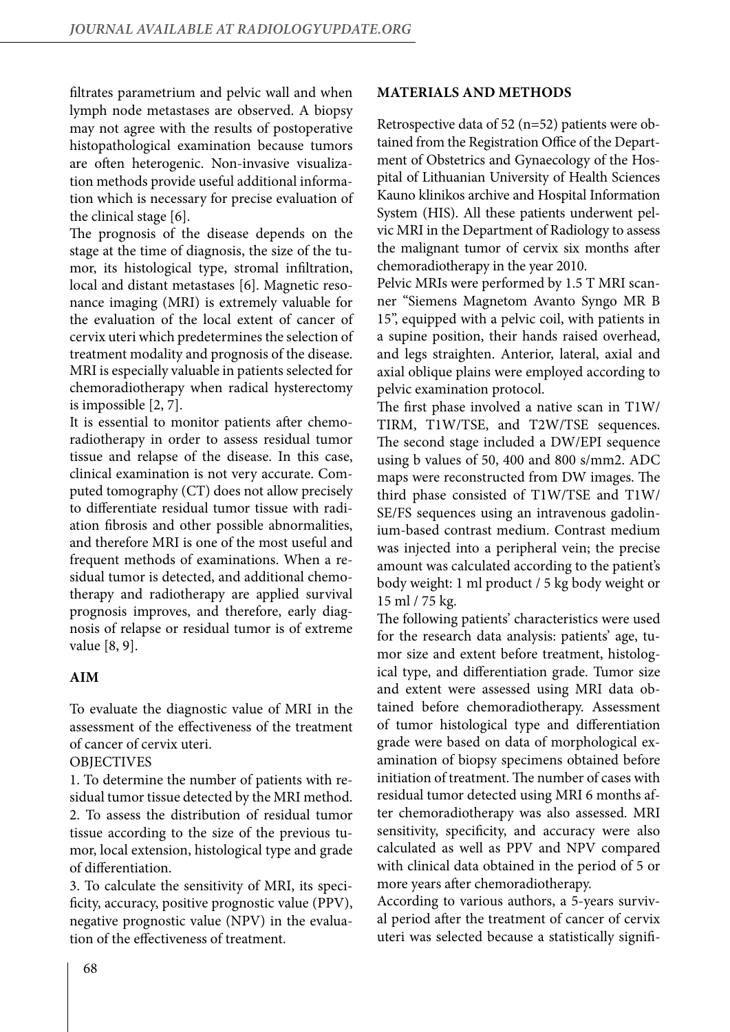filtrates parametrium and pelvic wall and when lymph node metastases are observed. A biopsy may not agree with the results of postoperative histopathological examination because tumors are often heterogenic. Non-invasive visualization methods provide useful additional information which is necessary for precise evaluation of the clinical stage [6].

The prognosis of the disease depends on the stage at the time of diagnosis, the size of the tumor, its histological type, stromal infiltration, local and distant metastases [6]. Magnetic resonance imaging (MRI) is extremely valuable for the evaluation of the local extent of cancer of cervix uteri which predetermines the selection of treatment modality and prognosis of the disease. MRI is especially valuable in patients selected for chemoradiotherapy when radical hysterectomy is impossible [2, 7].

It is essential to monitor patients after chemoradiotherapy in order to assess residual tumor tissue and relapse of the disease. In this case, clinical examination is not very accurate. Computed tomography (CT) does not allow precisely to differentiate residual tumor tissue with radiation fibrosis and other possible abnormalities, and therefore MRI is one of the most useful and frequent methods of examinations. When a residual tumor is detected, and additional chemotherapy and radiotherapy are applied survival prognosis improves, and therefore, early diagnosis of relapse or residual tumor is of extreme value [8, 9].

# **AIM**

To evaluate the diagnostic value of MRI in the assessment of the effectiveness of the treatment of cancer of cervix uteri.

# **OBJECTIVES**

1. To determine the number of patients with residual tumor tissue detected by the MRI method. 2. To assess the distribution of residual tumor tissue according to the size of the previous tumor, local extension, histological type and grade of differentiation.

3. To calculate the sensitivity of MRI, its specificity, accuracy, positive prognostic value (PPV), negative prognostic value (NPV) in the evaluation of the effectiveness of treatment.

## **MATERIALS AND METHODS**

Retrospective data of 52 (n=52) patients were obtained from the Registration Office of the Department of Obstetrics and Gynaecology of the Hospital of Lithuanian University of Health Sciences Kauno klinikos archive and Hospital Information System (HIS). All these patients underwent pelvic MRI in the Department of Radiology to assess the malignant tumor of cervix six months after chemoradiotherapy in the year 2010.

Pelvic MRIs were performed by 1.5 T MRI scanner "Siemens Magnetom Avanto Syngo MR B 15", equipped with a pelvic coil, with patients in a supine position, their hands raised overhead, and legs straighten. Anterior, lateral, axial and axial oblique plains were employed according to pelvic examination protocol.

The first phase involved a native scan in T1W/ TIRM, T1W/TSE, and T2W/TSE sequences. The second stage included a DW/EPI sequence using b values of 50, 400 and 800 s/mm2. ADC maps were reconstructed from DW images. The third phase consisted of T1W/TSE and T1W/ SE/FS sequences using an intravenous gadolinium-based contrast medium. Contrast medium was injected into a peripheral vein; the precise amount was calculated according to the patient's body weight: 1 ml product / 5 kg body weight or 15 ml / 75 kg.

The following patients' characteristics were used for the research data analysis: patients' age, tumor size and extent before treatment, histological type, and differentiation grade. Tumor size and extent were assessed using MRI data obtained before chemoradiotherapy. Assessment of tumor histological type and differentiation grade were based on data of morphological examination of biopsy specimens obtained before initiation of treatment. The number of cases with residual tumor detected using MRI 6 months after chemoradiotherapy was also assessed. MRI sensitivity, specificity, and accuracy were also calculated as well as PPV and NPV compared with clinical data obtained in the period of 5 or more years after chemoradiotherapy.

According to various authors, a 5-years survival period after the treatment of cancer of cervix uteri was selected because a statistically signifi-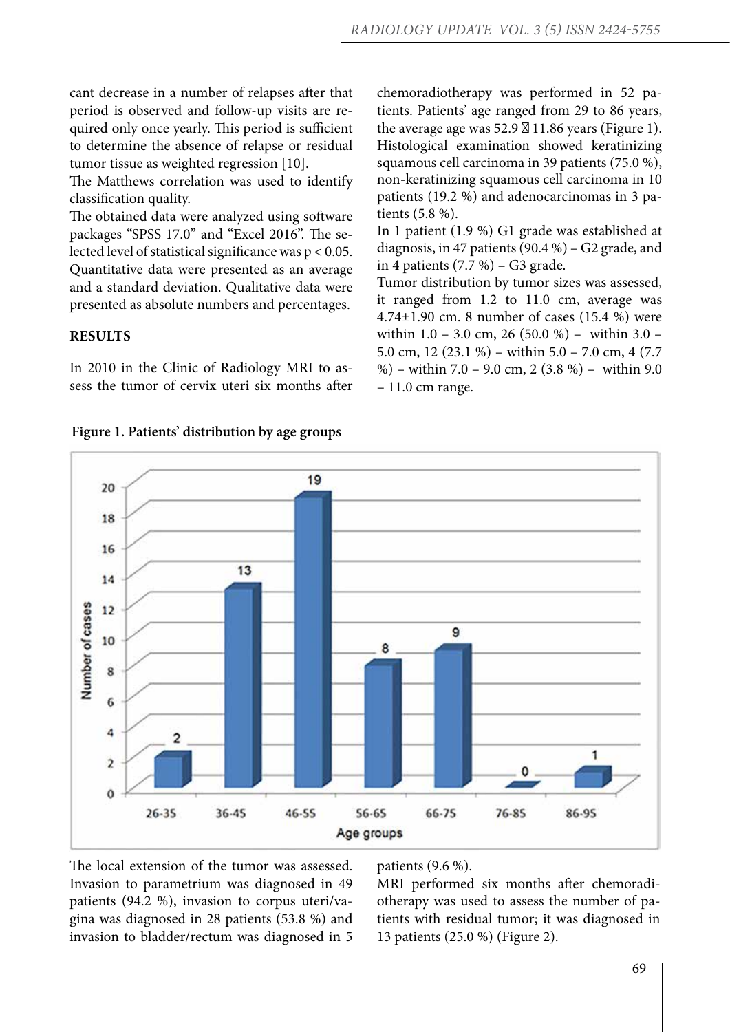cant decrease in a number of relapses after that period is observed and follow-up visits are required only once yearly. This period is sufficient to determine the absence of relapse or residual tumor tissue as weighted regression [10].

The Matthews correlation was used to identify classification quality.

The obtained data were analyzed using software packages "SPSS 17.0" and "Excel 2016". The selected level of statistical significance was p < 0.05. Quantitative data were presented as an average and a standard deviation. Qualitative data were presented as absolute numbers and percentages.

## **RESULTS**

In 2010 in the Clinic of Radiology MRI to assess the tumor of cervix uteri six months after chemoradiotherapy was performed in 52 patients. Patients' age ranged from 29 to 86 years, the average age was 52.9 11.86 years (Figure 1). Histological examination showed keratinizing squamous cell carcinoma in 39 patients (75.0 %), non-keratinizing squamous cell carcinoma in 10 patients (19.2 %) and adenocarcinomas in 3 patients (5.8 %).

In 1 patient (1.9 %) G1 grade was established at diagnosis, in 47 patients (90.4 %) – G2 grade, and in 4 patients (7.7 %) – G3 grade.

Tumor distribution by tumor sizes was assessed, it ranged from 1.2 to 11.0 cm, average was 4.74±1.90 cm. 8 number of cases (15.4 %) were within 1.0 – 3.0 cm, 26 (50.0 %) – within 3.0 – 5.0 cm, 12 (23.1 %) – within 5.0 – 7.0 cm, 4 (7.7 %) – within 7.0 – 9.0 cm, 2 (3.8 %) – within 9.0 – 11.0 cm range.



### **Figure 1. Patients' distribution by age groups**

The local extension of the tumor was assessed. Invasion to parametrium was diagnosed in 49 patients (94.2 %), invasion to corpus uteri/vagina was diagnosed in 28 patients (53.8 %) and invasion to bladder/rectum was diagnosed in 5 patients (9.6 %).

MRI performed six months after chemoradiotherapy was used to assess the number of patients with residual tumor; it was diagnosed in 13 patients (25.0 %) (Figure 2).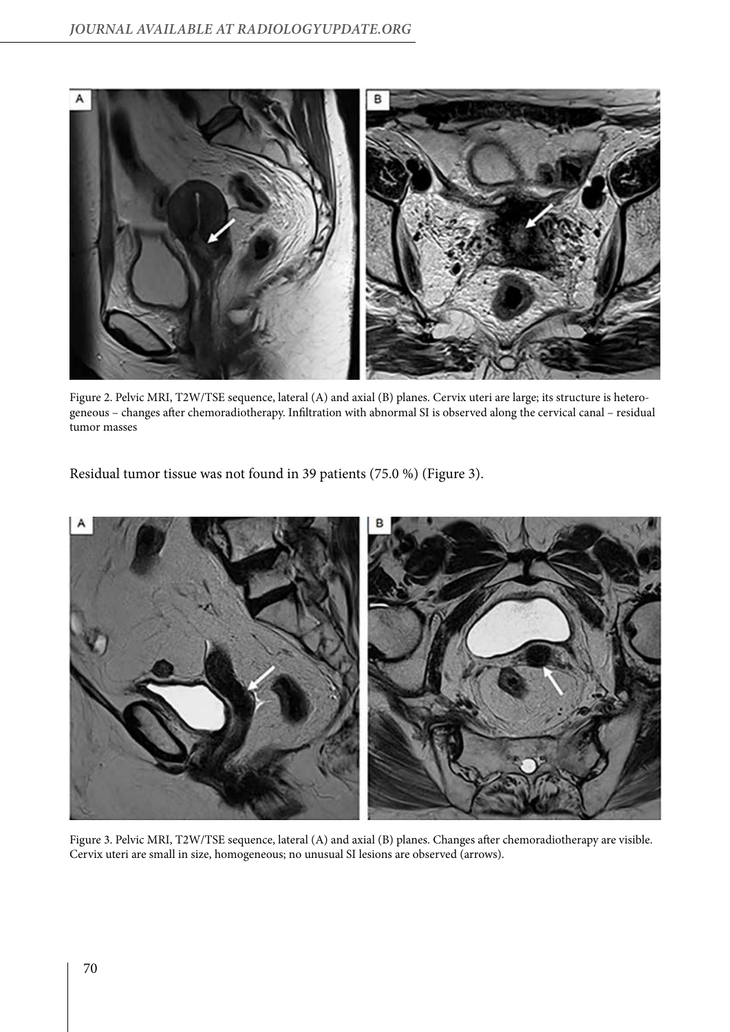

Figure 2. Pelvic MRI, T2W/TSE sequence, lateral (A) and axial (B) planes. Cervix uteri are large; its structure is heterogeneous – changes after chemoradiotherapy. Infiltration with abnormal SI is observed along the cervical canal – residual tumor masses

Residual tumor tissue was not found in 39 patients (75.0 %) (Figure 3).



Figure 3. Pelvic MRI, T2W/TSE sequence, lateral (A) and axial (B) planes. Changes after chemoradiotherapy are visible. Cervix uteri are small in size, homogeneous; no unusual SI lesions are observed (arrows).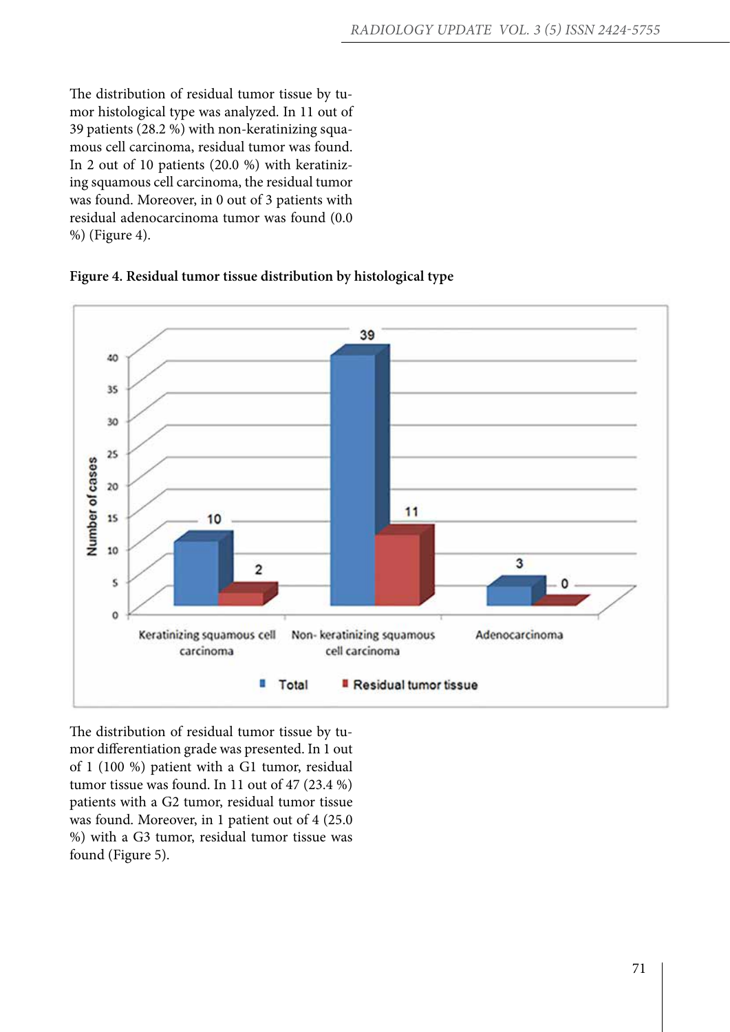The distribution of residual tumor tissue by tumor histological type was analyzed. In 11 out of 39 patients (28.2 %) with non-keratinizing squamous cell carcinoma, residual tumor was found. In 2 out of 10 patients (20.0 %) with keratinizing squamous cell carcinoma, the residual tumor was found. Moreover, in 0 out of 3 patients with residual adenocarcinoma tumor was found (0.0 %) (Figure 4).





The distribution of residual tumor tissue by tumor differentiation grade was presented. In 1 out of 1 (100 %) patient with a G1 tumor, residual tumor tissue was found. In 11 out of 47 (23.4 %) patients with a G2 tumor, residual tumor tissue was found. Moreover, in 1 patient out of 4 (25.0 %) with a G3 tumor, residual tumor tissue was found (Figure 5).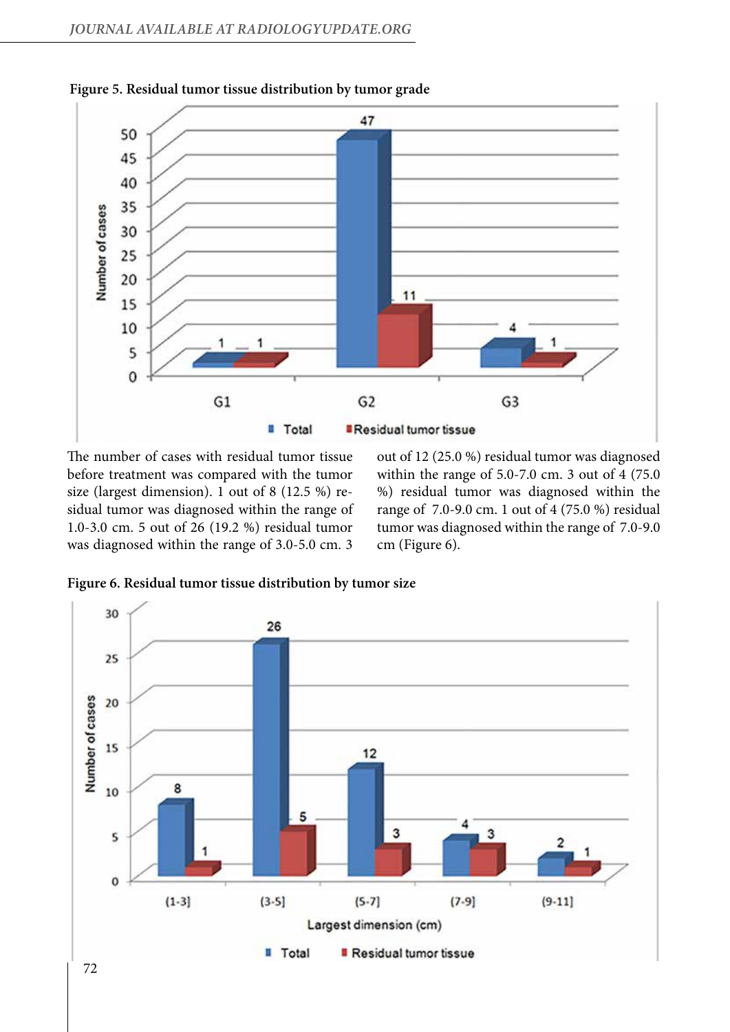

**Figure 5. Residual tumor tissue distribution by tumor grade**

The number of cases with residual tumor tissue before treatment was compared with the tumor size (largest dimension). 1 out of 8 (12.5 %) residual tumor was diagnosed within the range of 1.0-3.0 cm. 5 out of 26 (19.2 %) residual tumor was diagnosed within the range of 3.0-5.0 cm. 3

out of 12 (25.0 %) residual tumor was diagnosed within the range of 5.0-7.0 cm. 3 out of 4 (75.0 %) residual tumor was diagnosed within the range of 7.0-9.0 cm. 1 out of 4 (75.0 %) residual tumor was diagnosed within the range of 7.0-9.0 cm (Figure 6).



**Figure 6. Residual tumor tissue distribution by tumor size**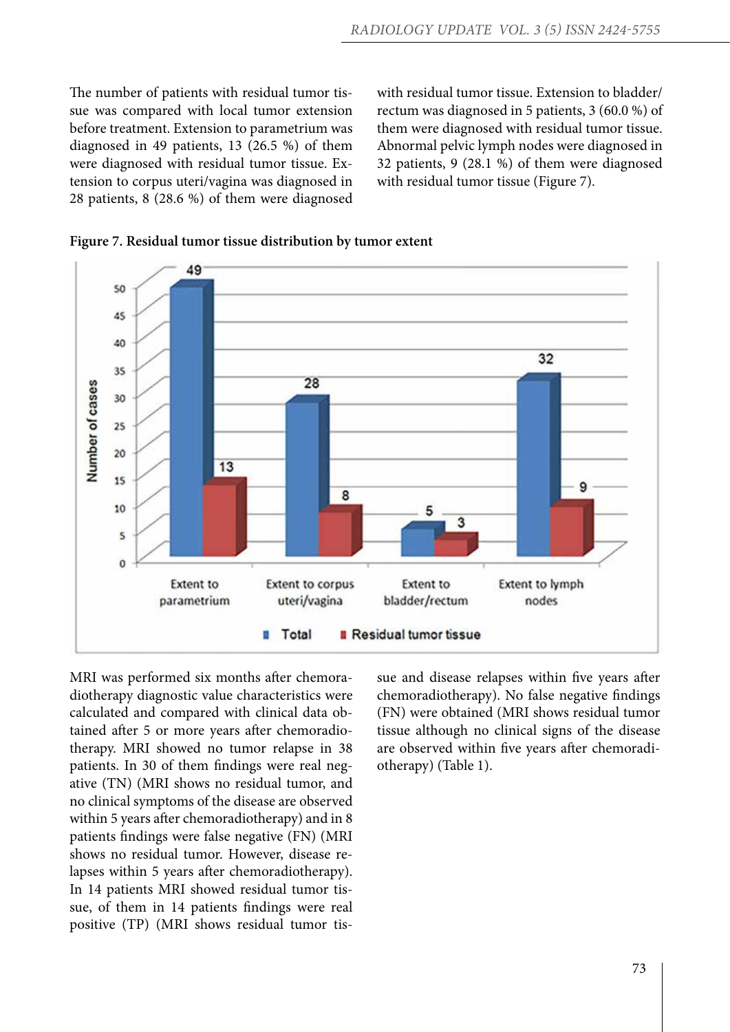The number of patients with residual tumor tissue was compared with local tumor extension before treatment. Extension to parametrium was diagnosed in 49 patients, 13 (26.5 %) of them were diagnosed with residual tumor tissue. Extension to corpus uteri/vagina was diagnosed in 28 patients, 8 (28.6 %) of them were diagnosed

with residual tumor tissue. Extension to bladder/ rectum was diagnosed in 5 patients, 3 (60.0 %) of them were diagnosed with residual tumor tissue. Abnormal pelvic lymph nodes were diagnosed in 32 patients, 9 (28.1 %) of them were diagnosed with residual tumor tissue (Figure 7).



**Figure 7. Residual tumor tissue distribution by tumor extent**

MRI was performed six months after chemoradiotherapy diagnostic value characteristics were calculated and compared with clinical data obtained after 5 or more years after chemoradiotherapy. MRI showed no tumor relapse in 38 patients. In 30 of them findings were real negative (TN) (MRI shows no residual tumor, and no clinical symptoms of the disease are observed within 5 years after chemoradiotherapy) and in 8 patients findings were false negative (FN) (MRI shows no residual tumor. However, disease relapses within 5 years after chemoradiotherapy). In 14 patients MRI showed residual tumor tissue, of them in 14 patients findings were real positive (TP) (MRI shows residual tumor tissue and disease relapses within five years after chemoradiotherapy). No false negative findings (FN) were obtained (MRI shows residual tumor tissue although no clinical signs of the disease are observed within five years after chemoradiotherapy) (Table 1).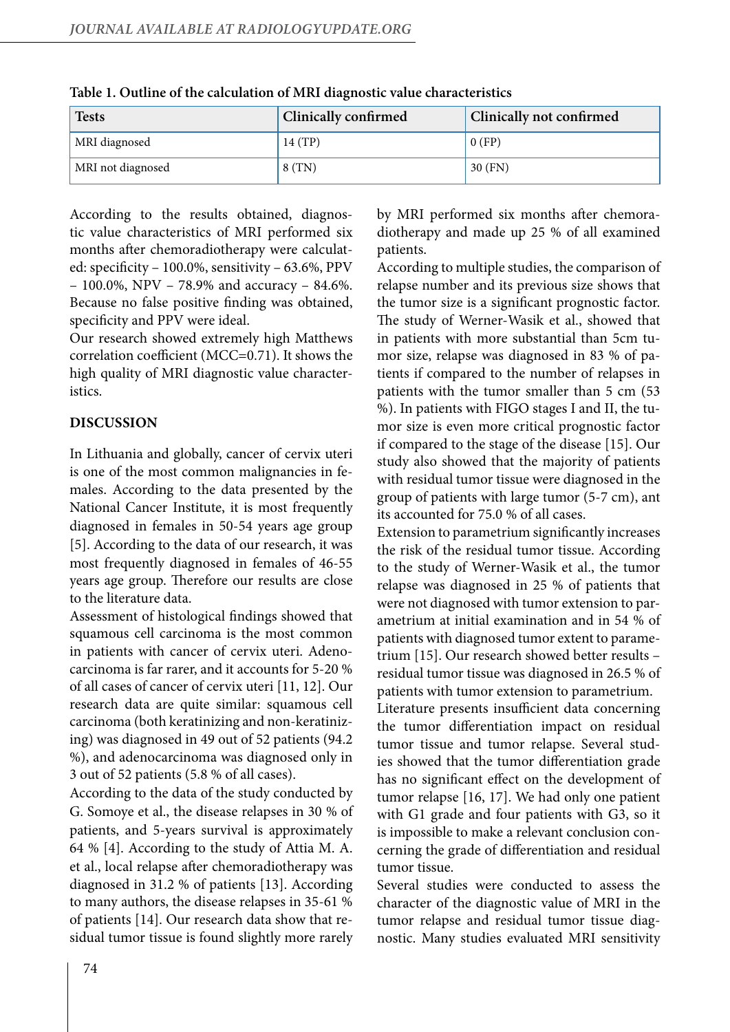| <b>Tests</b>      | Clinically confirmed | Clinically not confirmed |
|-------------------|----------------------|--------------------------|
| MRI diagnosed     | 14(TP)               | 0(FP)                    |
| MRI not diagnosed | 8(TN)                | $30$ (FN)                |

**Table 1. Outline of the calculation of MRI diagnostic value characteristics**

According to the results obtained, diagnostic value characteristics of MRI performed six months after chemoradiotherapy were calculated: specificity – 100.0%, sensitivity – 63.6%, PPV – 100.0%, NPV – 78.9% and accuracy – 84.6%. Because no false positive finding was obtained, specificity and PPV were ideal.

Our research showed extremely high Matthews correlation coefficient (MCC=0.71). It shows the high quality of MRI diagnostic value characteristics.

# **DISCUSSION**

In Lithuania and globally, cancer of cervix uteri is one of the most common malignancies in females. According to the data presented by the National Cancer Institute, it is most frequently diagnosed in females in 50-54 years age group [5]. According to the data of our research, it was most frequently diagnosed in females of 46-55 years age group. Therefore our results are close to the literature data.

Assessment of histological findings showed that squamous cell carcinoma is the most common in patients with cancer of cervix uteri. Adenocarcinoma is far rarer, and it accounts for 5-20 % of all cases of cancer of cervix uteri [11, 12]. Our research data are quite similar: squamous cell carcinoma (both keratinizing and non-keratinizing) was diagnosed in 49 out of 52 patients (94.2 %), and adenocarcinoma was diagnosed only in 3 out of 52 patients (5.8 % of all cases).

According to the data of the study conducted by G. Somoye et al., the disease relapses in 30 % of patients, and 5-years survival is approximately 64 % [4]. According to the study of Attia M. A. et al., local relapse after chemoradiotherapy was diagnosed in 31.2 % of patients [13]. According to many authors, the disease relapses in 35-61 % of patients [14]. Our research data show that residual tumor tissue is found slightly more rarely by MRI performed six months after chemoradiotherapy and made up 25 % of all examined patients.

According to multiple studies, the comparison of relapse number and its previous size shows that the tumor size is a significant prognostic factor. The study of Werner-Wasik et al., showed that in patients with more substantial than 5cm tumor size, relapse was diagnosed in 83 % of patients if compared to the number of relapses in patients with the tumor smaller than 5 cm (53 %). In patients with FIGO stages I and II, the tumor size is even more critical prognostic factor if compared to the stage of the disease [15]. Our study also showed that the majority of patients with residual tumor tissue were diagnosed in the group of patients with large tumor (5-7 cm), ant its accounted for 75.0 % of all cases.

Extension to parametrium significantly increases the risk of the residual tumor tissue. According to the study of Werner-Wasik et al., the tumor relapse was diagnosed in 25 % of patients that were not diagnosed with tumor extension to parametrium at initial examination and in 54 % of patients with diagnosed tumor extent to parametrium [15]. Our research showed better results – residual tumor tissue was diagnosed in 26.5 % of patients with tumor extension to parametrium.

Literature presents insufficient data concerning the tumor differentiation impact on residual tumor tissue and tumor relapse. Several studies showed that the tumor differentiation grade has no significant effect on the development of tumor relapse [16, 17]. We had only one patient with G1 grade and four patients with G3, so it is impossible to make a relevant conclusion concerning the grade of differentiation and residual tumor tissue.

Several studies were conducted to assess the character of the diagnostic value of MRI in the tumor relapse and residual tumor tissue diagnostic. Many studies evaluated MRI sensitivity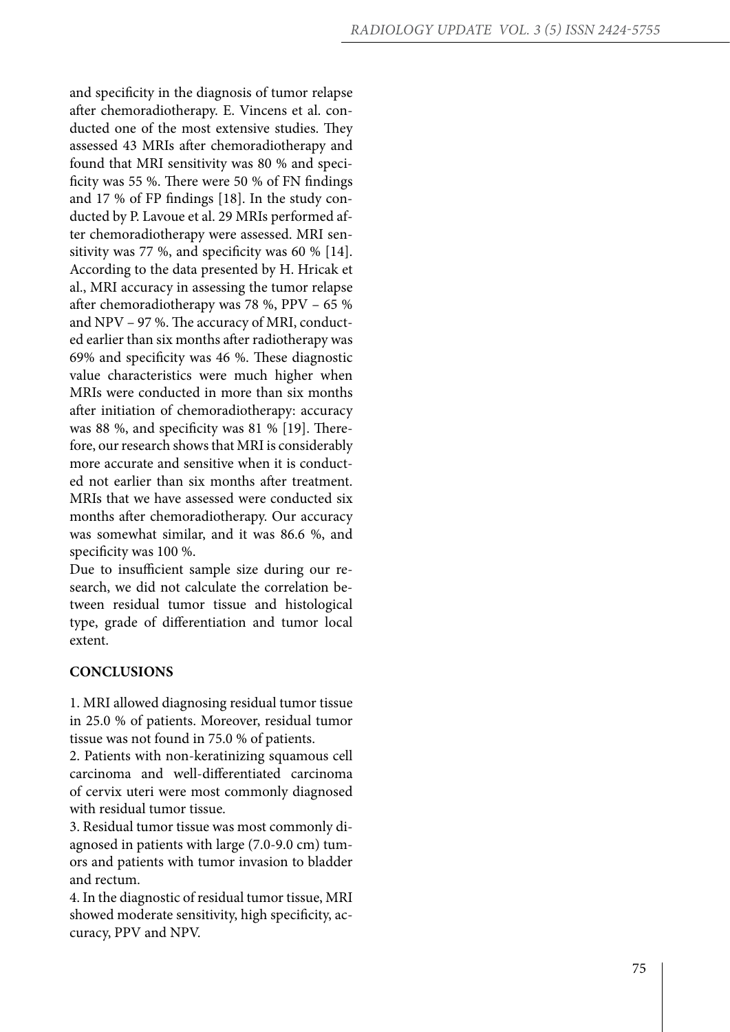and specificity in the diagnosis of tumor relapse after chemoradiotherapy. E. Vincens et al. con ducted one of the most extensive studies. They assessed 43 MRIs after chemoradiotherapy and found that MRI sensitivity was 80 % and speci ficity was 55 %. There were 50 % of FN findings and 17 % of FP findings [18]. In the study con ducted by P. Lavoue et al. 29 MRIs performed after chemoradiotherapy were assessed. MRI sensitivity was 77 %, and specificity was 60 % [14]. According to the data presented by H. Hricak et al., MRI accuracy in assessing the tumor relapse after chemoradiotherapy was 78 %, PPV – 65 % and NPV – 97 %. The accuracy of MRI, conduct ed earlier than six months after radiotherapy was 69% and specificity was 46 %. These diagnostic value characteristics were much higher when MRIs were conducted in more than six months after initiation of chemoradiotherapy: accuracy was 88 %, and specificity was 81 % [19]. There fore, our research shows that MRI is considerably more accurate and sensitive when it is conduct ed not earlier than six months after treatment. MRIs that we have assessed were conducted six months after chemoradiotherapy. Our accuracy was somewhat similar, and it was 86.6 %, and specificity was 100 %.

Due to insufficient sample size during our re search, we did not calculate the correlation be tween residual tumor tissue and histological type, grade of differentiation and tumor local extent.

## **CONCLUSIONS**

1. MRI allowed diagnosing residual tumor tissue in 25.0 % of patients. Moreover, residual tumor tissue was not found in 75.0 % of patients.

2. Patients with non-keratinizing squamous cell carcinoma and well-differentiated carcinoma of cervix uteri were most commonly diagnosed with residual tumor tissue.

3. Residual tumor tissue was most commonly di agnosed in patients with large (7.0-9.0 cm) tum ors and patients with tumor invasion to bladder and rectum.

4. In the diagnostic of residual tumor tissue, MRI showed moderate sensitivity, high specificity, ac curacy, PPV and NPV.